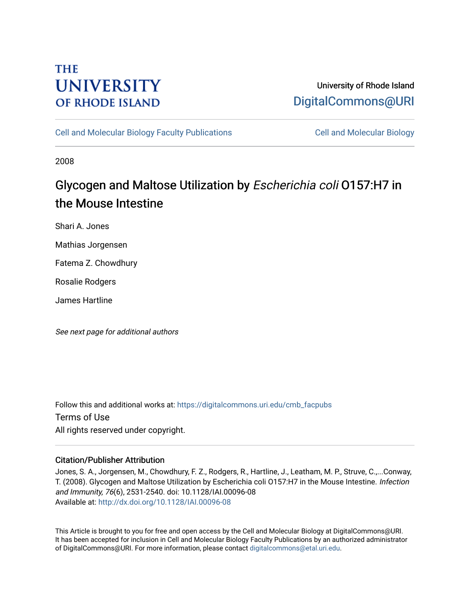# **THE UNIVERSITY OF RHODE ISLAND**

# University of Rhode Island [DigitalCommons@URI](https://digitalcommons.uri.edu/)

[Cell and Molecular Biology Faculty Publications](https://digitalcommons.uri.edu/cmb_facpubs) [Cell and Molecular Biology](https://digitalcommons.uri.edu/cmb) 

2008

# Glycogen and Maltose Utilization by Escherichia coli O157:H7 in the Mouse Intestine

Shari A. Jones

Mathias Jorgensen

Fatema Z. Chowdhury

Rosalie Rodgers

James Hartline

See next page for additional authors

Follow this and additional works at: [https://digitalcommons.uri.edu/cmb\\_facpubs](https://digitalcommons.uri.edu/cmb_facpubs?utm_source=digitalcommons.uri.edu%2Fcmb_facpubs%2F66&utm_medium=PDF&utm_campaign=PDFCoverPages)  Terms of Use All rights reserved under copyright.

## Citation/Publisher Attribution

Jones, S. A., Jorgensen, M., Chowdhury, F. Z., Rodgers, R., Hartline, J., Leatham, M. P., Struve, C.,...Conway, T. (2008). Glycogen and Maltose Utilization by Escherichia coli O157:H7 in the Mouse Intestine. Infection and Immunity, 76(6), 2531-2540. doi: 10.1128/IAI.00096-08 Available at:<http://dx.doi.org/10.1128/IAI.00096-08>

This Article is brought to you for free and open access by the Cell and Molecular Biology at DigitalCommons@URI. It has been accepted for inclusion in Cell and Molecular Biology Faculty Publications by an authorized administrator of DigitalCommons@URI. For more information, please contact [digitalcommons@etal.uri.edu](mailto:digitalcommons@etal.uri.edu).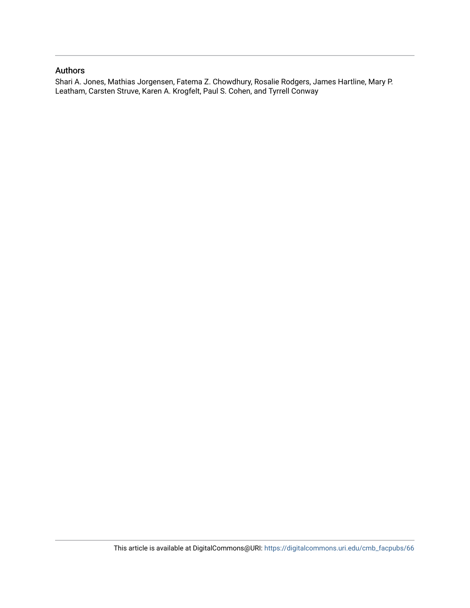## Authors

Shari A. Jones, Mathias Jorgensen, Fatema Z. Chowdhury, Rosalie Rodgers, James Hartline, Mary P. Leatham, Carsten Struve, Karen A. Krogfelt, Paul S. Cohen, and Tyrrell Conway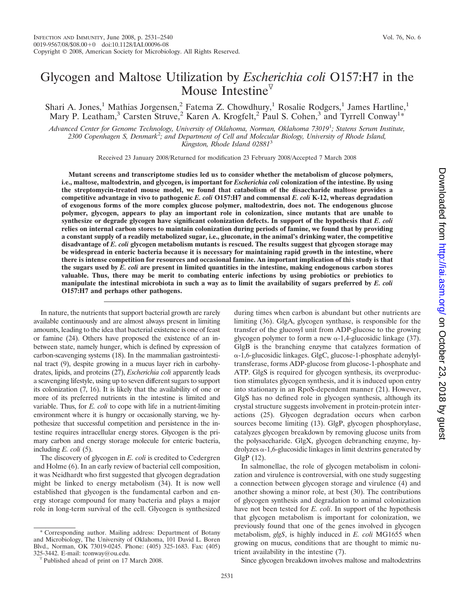## Glycogen and Maltose Utilization by *Escherichia coli* O157:H7 in the Mouse Intestine<sup> $\triangledown$ </sup>

Shari A. Jones,<sup>1</sup> Mathias Jorgensen,<sup>2</sup> Fatema Z. Chowdhury,<sup>1</sup> Rosalie Rodgers,<sup>1</sup> James Hartline,<sup>1</sup> Mary P. Leatham,<sup>3</sup> Carsten Struve,<sup>2</sup> Karen A. Krogfelt,<sup>2</sup> Paul S. Cohen,<sup>3</sup> and Tyrrell Conway<sup>1\*</sup>

*Advanced Center for Genome Technology, University of Oklahoma, Norman, Oklahoma 73019*<sup>1</sup> *; Statens Serum Institute, 2300 Copenhagen S, Denmark*<sup>2</sup> *; and Department of Cell and Molecular Biology, University of Rhode Island, Kingston, Rhode Island 02881*<sup>3</sup>

Received 23 January 2008/Returned for modification 23 February 2008/Accepted 7 March 2008

**Mutant screens and transcriptome studies led us to consider whether the metabolism of glucose polymers, i.e., maltose, maltodextrin, and glycogen, is important for** *Escherichia coli* **colonization of the intestine. By using the streptomycin-treated mouse model, we found that catabolism of the disaccharide maltose provides a competitive advantage in vivo to pathogenic** *E. coli* **O157:H7 and commensal** *E. coli* **K-12, whereas degradation of exogenous forms of the more complex glucose polymer, maltodextrin, does not. The endogenous glucose polymer, glycogen, appears to play an important role in colonization, since mutants that are unable to synthesize or degrade glycogen have significant colonization defects. In support of the hypothesis that** *E. coli* **relies on internal carbon stores to maintain colonization during periods of famine, we found that by providing a constant supply of a readily metabolized sugar, i.e., gluconate, in the animal's drinking water, the competitive disadvantage of** *E. coli* **glycogen metabolism mutants is rescued. The results suggest that glycogen storage may be widespread in enteric bacteria because it is necessary for maintaining rapid growth in the intestine, where there is intense competition for resources and occasional famine. An important implication of this study is that the sugars used by** *E. coli* **are present in limited quantities in the intestine, making endogenous carbon stores valuable. Thus, there may be merit to combating enteric infections by using probiotics or prebiotics to manipulate the intestinal microbiota in such a way as to limit the availability of sugars preferred by** *E. coli* **O157:H7 and perhaps other pathogens.**

In nature, the nutrients that support bacterial growth are rarely available continuously and are almost always present in limiting amounts, leading to the idea that bacterial existence is one of feast or famine (24). Others have proposed the existence of an inbetween state, namely hunger, which is defined by expression of carbon-scavenging systems (18). In the mammalian gastrointestinal tract (9), despite growing in a mucus layer rich in carbohydrates, lipids, and proteins (27), *Escherichia coli* apparently leads a scavenging lifestyle, using up to seven different sugars to support its colonization (7, 16). It is likely that the availability of one or more of its preferred nutrients in the intestine is limited and variable. Thus, for *E. coli* to cope with life in a nutrient-limiting environment where it is hungry or occasionally starving, we hypothesize that successful competition and persistence in the intestine requires intracellular energy stores. Glycogen is the primary carbon and energy storage molecule for enteric bacteria, including *E. coli* (5).

The discovery of glycogen in *E. coli* is credited to Cedergren and Holme (6). In an early review of bacterial cell composition, it was Neidhardt who first suggested that glycogen degradation might be linked to energy metabolism (34). It is now well established that glycogen is the fundamental carbon and energy storage compound for many bacteria and plays a major role in long-term survival of the cell. Glycogen is synthesized

\* Corresponding author. Mailing address: Department of Botany and Microbiology, The University of Oklahoma, 101 David L. Boren Blvd., Norman, OK 73019-0245. Phone: (405) 325-1683. Fax: (405)

during times when carbon is abundant but other nutrients are limiting (36). GlgA, glycogen synthase, is responsible for the transfer of the glucosyl unit from ADP-glucose to the growing glycogen polymer to form a new  $\alpha$ -1,4-glucosidic linkage (37). GlgB is the branching enzyme that catalyzes formation of --1,6-glucosidic linkages. GlgC, glucose-1-phosphate adenylyltransferase, forms ADP-glucose from glucose-1-phosphate and ATP. GlgS is required for glycogen synthesis, its overproduction stimulates glycogen synthesis, and it is induced upon entry into stationary in an RpoS-dependent manner (21). However, GlgS has no defined role in glycogen synthesis, although its crystal structure suggests involvement in protein-protein interactions (25). Glycogen degradation occurs when carbon sources become limiting (13). GlgP, glycogen phosphorylase, catalyzes glycogen breakdown by removing glucose units from the polysaccharide. GlgX, glycogen debranching enzyme, hy $d$ rolyzes  $\alpha$ -1,6-glucosidic linkages in limit dextrins generated by GlgP (12).

In salmonellae, the role of glycogen metabolism in colonization and virulence is controversial, with one study suggesting a connection between glycogen storage and virulence (4) and another showing a minor role, at best (30). The contributions of glycogen synthesis and degradation to animal colonization have not been tested for *E. coli*. In support of the hypothesis that glycogen metabolism is important for colonization, we previously found that one of the genes involved in glycogen metabolism, *glgS*, is highly induced in *E. coli* MG1655 when growing on mucus, conditions that are thought to mimic nutrient availability in the intestine (7).

Since glycogen breakdown involves maltose and maltodextrins

 $\sqrt[7]{}$  Published ahead of print on 17 March 2008.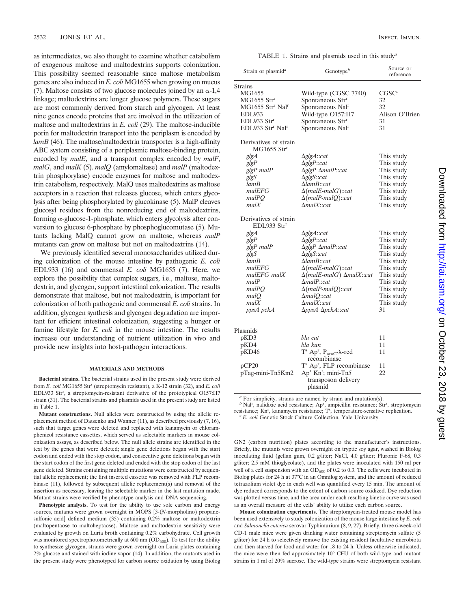as intermediates, we also thought to examine whether catabolism of exogenous maltose and maltodextrins supports colonization. This possibility seemed reasonable since maltose metabolism genes are also induced in *E. coli* MG1655 when growing on mucus (7). Maltose consists of two glucose molecules joined by an  $\alpha$ -1,4 linkage; maltodextrins are longer glucose polymers. These sugars are most commonly derived from starch and glycogen. At least nine genes encode proteins that are involved in the utilization of maltose and maltodextrins in *E. coli* (29). The maltose-inducible porin for maltodextrin transport into the periplasm is encoded by *lamB* (46). The maltose/maltodextrin transporter is a high-affinity ABC system consisting of a periplasmic maltose-binding protein, encoded by *malE*, and a transport complex encoded by *malF*, *malG*, and *malK* (5). *malQ* (amylomaltase) and *malP* (maltodextrin phosphorylase) encode enzymes for maltose and maltodextrin catabolism, respectively. MalQ uses maltodextrins as maltose acceptors in a reaction that releases glucose, which enters glycolysis after being phosphorylated by glucokinase (5). MalP cleaves glucosyl residues from the nonreducing end of maltodextrins, forming  $\alpha$ -glucose-1-phosphate, which enters glycolysis after conversion to glucose 6-phosphate by phosphoglucomutase (5). Mutants lacking MalQ cannot grow on maltose, whereas *malP* mutants can grow on maltose but not on maltodextrins (14).

We previously identified several monosaccharides utilized during colonization of the mouse intestine by pathogenic *E. coli* EDL933 (16) and commensal *E. coli* MG1655 (7). Here, we explore the possibility that complex sugars, i.e., maltose, maltodextrin, and glycogen, support intestinal colonization. The results demonstrate that maltose, but not maltodextrin, is important for colonization of both pathogenic and commensal *E. coli* strains. In addition, glycogen synthesis and glycogen degradation are important for efficient intestinal colonization, suggesting a hunger or famine lifestyle for *E. coli* in the mouse intestine. The results increase our understanding of nutrient utilization in vivo and provide new insights into host-pathogen interactions.

#### **MATERIALS AND METHODS**

**Bacterial strains.** The bacterial strains used in the present study were derived from *E. coli* MG1655 Str<sup>r</sup> (streptomycin resistant), a K-12 strain (32), and *E. coli* EDL933 Str<sup>r</sup>, a streptomycin-resistant derivative of the prototypical O157:H7 strain (31). The bacterial strains and plasmids used in the present study are listed in Table 1.

**Mutant constructions.** Null alleles were constructed by using the allelic replacement method of Datsenko and Wanner (11), as described previously (7, 16), such that target genes were deleted and replaced with kanamycin or chloramphenicol resistance cassettes, which served as selectable markers in mouse colonization assays, as described below. The null allele strains are identified in the text by the genes that were deleted; single gene deletions began with the start codon and ended with the stop codon, and consecutive gene deletions began with the start codon of the first gene deleted and ended with the stop codon of the last gene deleted. Strains containing multiple mutations were constructed by sequential allelic replacement; the first inserted cassette was removed with FLP recombinase (11), followed by subsequent allelic replacement(s) and removal of the insertion as necessary, leaving the selectable marker in the last mutation made. Mutant strains were verified by phenotype analysis and DNA sequencing.

**Phenotypic analysis.** To test for the ability to use sole carbon and energy sources, mutants were grown overnight in MOPS [3-(*N*-morpholino) propanesulfonic acid] defined medium (35) containing 0.2% maltose or maltodextrin (maltopentaose to maltoheptaose). Maltose and maltodextrin sensitivity were evaluated by growth on Luria broth containing 0.2% carbohydrate. Cell growth was monitored spectrophotometrically at  $600$  nm  $(OD_{600})$ . To test for the ability to synthesize glycogen, strains were grown overnight on Luria plates containing 2% glucose and stained with iodine vapor (14). In addition, the mutants used in the present study were phenotyped for carbon source oxidation by using Biolog

TABLE 1. Strains and plasmids used in this study*<sup>a</sup>*

| Strain or plasmid <sup>a</sup>                   | Genotype $\mathfrak{b}$                                                      | Source or<br>reference |  |
|--------------------------------------------------|------------------------------------------------------------------------------|------------------------|--|
| <b>Strains</b>                                   |                                                                              |                        |  |
| MG1655                                           | Wild-type (CGSC 7740)                                                        | CGSC <sup>c</sup>      |  |
| $MG1655$ Str <sup>r</sup>                        | Spontaneous Str <sup>r</sup>                                                 | 32                     |  |
| MG1655 Str <sup>r</sup> Nal <sup>r</sup>         | Spontaneous Nal <sup>r</sup>                                                 | 32                     |  |
| <b>EDL933</b>                                    | Wild-type O157:H7                                                            | Alison O'Brien         |  |
| EDL933 Str <sup>r</sup>                          | Spontaneous Str <sup>r</sup>                                                 | 31                     |  |
| EDL933 Str <sup>r</sup> Nal <sup>r</sup>         | Spontaneous Nal <sup>r</sup>                                                 | 31                     |  |
| Derivatives of strain<br>$MG1655$ $Strr$         |                                                                              |                        |  |
| glgA                                             | $\Delta$ glg $A$ ::cat                                                       | This study             |  |
| glgP                                             | $\Delta$ glgP::cat                                                           | This study             |  |
| glgP malP                                        | $\Delta$ glgP $\Delta$ malP::cat                                             | This study             |  |
| glgS                                             | $\Delta$ glgS::cat                                                           | This study             |  |
| lamB                                             | $\Delta$ lam $B$ ::cat                                                       | This study             |  |
| malEFG                                           | $\Delta$ (malE-malG)::cat                                                    | This study             |  |
| malPO                                            | $\Delta$ (malP-malQ)::cat                                                    | This study             |  |
| malX                                             | $\Delta$ mal $X$ ::cat                                                       | This study             |  |
| Derivatives of strain<br>EDL933 Str <sup>r</sup> |                                                                              |                        |  |
| glgA                                             | $\Delta$ glg $A$ ::cat                                                       | This study             |  |
| glgP                                             | $\Delta$ glgP::cat                                                           | This study             |  |
| glgP malP                                        | ∆glgP ∆malP::cat                                                             | This study             |  |
| glgS                                             | $\Delta$ glgS::cat                                                           | This study             |  |
| lamB                                             | $\Delta$ lam $B$ ::cat                                                       | This study             |  |
| malEFG                                           | $\Delta(malE\text{-}malG)::cat$                                              | This study             |  |
| malEFG malX                                      | $\Delta(malE\text{-}malG)$ $\Delta malX::cat$                                | This study             |  |
| malP                                             | $\Delta$ mal $P$ ::cat                                                       | This study             |  |
| malPO                                            | $\Delta$ (malP-malQ)::cat                                                    | This study             |  |
| malQ                                             | $\Delta$ malQ::cat                                                           | This study             |  |
| malX                                             | $\Delta$ mal $X$ ::cat                                                       | This study             |  |
| ppsA pckA                                        | $\Delta ppsA \ \Delta pckA::cat$                                             | 31                     |  |
|                                                  |                                                                              |                        |  |
| Plasmids                                         |                                                                              |                        |  |
| pKD3                                             | bla cat                                                                      | 11                     |  |
| pKD4                                             | bla kan                                                                      | 11                     |  |
| pKD46                                            | $T^s$ Ap <sup>r</sup> , P <sub>araC</sub> - $\lambda$ -red<br>recombinase    | 11                     |  |
| pCP20                                            | T <sup>s</sup> Ap <sup>r</sup> , FLP recombinase                             | 11                     |  |
| pTag-mini-Tn5Km2                                 | Ap <sup>r</sup> Kn <sup>r</sup> ; mini-Tn5<br>transposon delivery<br>plasmid | 22                     |  |

*<sup>a</sup>* For simplicity, strains are named by strain and mutation(s).

<sup>*b*</sup> Nal<sup>r</sup>, nalidixic acid resistance; Ap<sup>r</sup>, ampicillin resistance; Str<sup>r</sup>, streptomycin resistance; Kn<sup>r</sup>, kanamycin resistance; T<sup>s</sup>, temperature-sensitive replication.<br> *<sup>c</sup> E. coli* Genetic Stock Culture Collection, Yale University.

GN2 (carbon nutrition) plates according to the manufacturer's instructions. Briefly, the mutants were grown overnight on tryptic soy agar, washed in Biolog inoculating fluid (gellan gum, 0.2 g/liter; NaCl, 4.0 g/liter; Pluronic F-68, 0.3 g/liter; 2.5 mM thioglycolate), and the plates were inoculated with 150 ml per well of a cell suspension with an  $OD_{600}$  of 0.2 to 0.3. The cells were incubated in Biolog plates for 24 h at 37°C in an Omnilog system, and the amount of reduced tetrazolium violet dye in each well was quantified every 15 min. The amount of dye reduced corresponds to the extent of carbon source oxidized. Dye reduction was plotted versus time, and the area under each resulting kinetic curve was used as an overall measure of the cells' ability to utilize each carbon source.

**Mouse colonization experiments.** The streptomycin-treated mouse model has been used extensively to study colonization of the mouse large intestine by *E. coli* and *Salmonella enterica* serovar Typhimurium (8, 9, 27). Briefly, three 6-week-old CD-1 male mice were given drinking water containing streptomycin sulfate (5 g/liter) for 24 h to selectively remove the existing resident facultative microbiota and then starved for food and water for 18 to 24 h. Unless otherwise indicated, the mice were then fed approximately  $10<sup>5</sup>$  CFU of both wild-type and mutant strains in 1 ml of 20% sucrose. The wild-type strains were streptomycin resistant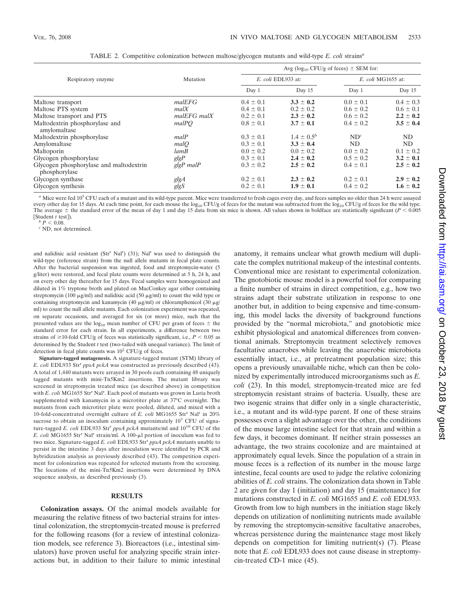|                                                          |             | Avg ( $log_{10}$ CFU/g of feces) $\pm$ SEM for: |                   |                    |               |
|----------------------------------------------------------|-------------|-------------------------------------------------|-------------------|--------------------|---------------|
| Respiratory enzyme                                       | Mutation    | E. coli EDL933 at:                              |                   | E. coli MG1655 at: |               |
|                                                          |             | Day 1                                           | Day 15            | Day 1              | Day 15        |
| Maltose transport                                        | malEFG      | $0.4 \pm 0.1$                                   | $3.3 \pm 0.2$     | $0.0 \pm 0.1$      | $0.4 \pm 0.3$ |
| Maltose PTS system                                       | m a l X     | $0.4 \pm 0.1$                                   | $0.2 \pm 0.2$     | $0.6 \pm 0.2$      | $0.6 \pm 0.1$ |
| Maltose transport and PTS                                | malEFG malX | $0.2 \pm 0.1$                                   | $2.3 \pm 0.2$     | $0.6 \pm 0.2$      | $2.2 \pm 0.2$ |
| Maltodextrin phosphorylase and<br>amylomaltase           | malPO       | $0.8 \pm 0.1$                                   | $3.7 \pm 0.1$     | $0.4 \pm 0.2$      | $3.5 \pm 0.4$ |
| Maltodextrin phosphorylase                               | malP        | $0.3 \pm 0.1$                                   | $1.4 \pm 0.5^{b}$ | ND <sup>c</sup>    | ND.           |
| Amylomaltase                                             | malO        | $0.3 \pm 0.1$                                   | $3.3 \pm 0.4$     | ND.                | ND            |
| Maltoporin                                               | lamB        | $0.0 \pm 0.2$                                   | $0.0 \pm 0.2$     | $0.0 \pm 0.2$      | $0.1 \pm 0.2$ |
| Glycogen phosphorylase                                   | glgP        | $0.3 \pm 0.1$                                   | $2.4 \pm 0.2$     | $0.5 \pm 0.2$      | $3.2 \pm 0.1$ |
| Glycogen phosphorylase and maltodextrin<br>phosphorylase | $glgP$ malP | $0.3 \pm 0.2$                                   | $2.5 \pm 0.2$     | $0.4 \pm 0.1$      | $2.5 \pm 0.2$ |
| Glycogen synthase                                        | glgA        | $0.2 \pm 0.1$                                   | $2.3 \pm 0.2$     | $0.2 \pm 0.1$      | $2.9 \pm 0.2$ |
| Glycogen synthesis                                       | glgS        | $0.2 \pm 0.1$                                   | $1.9 \pm 0.1$     | $0.4 \pm 0.2$      | $1.6 \pm 0.2$ |

TABLE 2. Competitive colonization between maltose/glycogen mutants and wild-type *E. coli* strains*<sup>a</sup>*

*<sup>a</sup>* Mice were fed 10<sup>5</sup> CFU each of a mutant and its wild-type parent. Mice were transferred to fresh cages every day, and feces samples no older than 24 h were assayed every other day for 15 days. At each time point, for each mouse the log<sub>10</sub> CFU/g of feces for the mutant was subtracted from the log<sub>10</sub> CFU/g of feces for the wild type. The average  $\pm$  the standard error of the mean of day 1 and day 15 data from six mice is shown. All values shown in boldface are statistically significant ( $P < 0.005$ ) [Student *t* test]).<br> *b*  $P < 0.08$ .<br> *c* ND, not determined.

and nalidixic acid resistant (Str<sup>r</sup> Nal<sup>r</sup>) (31); Nal<sup>r</sup> was used to distinguish the wild-type (reference strain) from the null allele mutants in fecal plate counts. After the bacterial suspension was ingested, food and streptomycin-water (5 g/liter) were restored, and fecal plate counts were determined at 5 h, 24 h, and on every other day thereafter for 15 days. Fecal samples were homogenized and diluted in 1% tryptone broth and plated on MacConkey agar either containing streptomycin (100  $\mu$ g/ml) and nalidixic acid (50  $\mu$ g/ml) to count the wild type or containing streptomycin and kanamycin (40  $\mu$ g/ml) or chloramphenicol (30  $\mu$ g/ ml) to count the null allele mutants. Each colonization experiment was repeated, on separate occasions, and averaged for six (or more) mice, such that the presented values are the  $log_{10}$  mean number of CFU per gram of feces  $\pm$  the standard error for each strain. In all experiments, a difference between two strains of  $\geq 10$ -fold CFU/g of feces was statistically significant, i.e.,  $P \leq 0.05$  as determined by the Student *t* test (two-tailed with unequal variance). The limit of detection in fecal plate counts was  $10^2$  CFU/g of feces.

**Signature-tagged mutagenesis.** A signature-tagged mutant (STM) library of *E. coli* EDL933 Str<sup>r</sup> *ppsA pckA* was constructed as previously described (43). A total of 1,440 mutants were arrayed in 30 pools each containing 48 uniquely tagged mutants with mini-Tn*5*Km2 insertions. The mutant library was screened in streptomycin treated mice (as described above) in competition with *E. coli* MG1655 Str<sup>r</sup> Nal<sup>r</sup>. Each pool of mutants was grown in Luria broth supplemented with kanamycin in a microtiter plate at 37°C overnight. The mutants from each microtiter plate were pooled, diluted, and mixed with a 10-fold-concentrated overnight culture of *E. coli* MG1655 Str<sup>r</sup> Nal<sup>r</sup> in 20% sucrose to obtain an inoculum containing approximately 10<sup>7</sup> CFU of signature-tagged *E. coli* EDL933 Str<sup>r</sup> ppsA pckA mutants/ml and 10<sup>10</sup> CFU of the *E. coli* MG1655 Str<sup>r</sup> Nal<sup>r</sup> strain/ml. A 100-μl portion of inoculum was fed to two mice. Signature-tagged *E. coli* EDL933 Str<sup>r</sup> ppsA pckA mutants unable to persist in the intestine 3 days after inoculation were identified by PCR and hybridization analysis as previously described (43). The competition experiment for colonization was repeated for selected mutants from the screening. The locations of the mini-Tn*5*Km2 insertions were determined by DNA sequence analysis, as described previously (3).

### **RESULTS**

**Colonization assays.** Of the animal models available for measuring the relative fitness of two bacterial strains for intestinal colonization, the streptomycin-treated mouse is preferred for the following reasons (for a review of intestinal colonization models, see reference 3). Bioreactors (i.e., intestinal simulators) have proven useful for analyzing specific strain interactions but, in addition to their failure to mimic intestinal anatomy, it remains unclear what growth medium will duplicate the complex nutritional makeup of the intestinal contents. Conventional mice are resistant to experimental colonization. The gnotobiotic mouse model is a powerful tool for comparing a finite number of strains in direct competition, e.g., how two strains adapt their substrate utilization in response to one another but, in addition to being expensive and time-consuming, this model lacks the diversity of background functions provided by the "normal microbiota," and gnotobiotic mice exhibit physiological and anatomical differences from conventional animals. Streptomycin treatment selectively removes facultative anaerobes while leaving the anaerobic microbiota essentially intact, i.e., at pretreatment population size; this opens a previously unavailable niche, which can then be colonized by experimentally introduced microorganisms such as *E. coli* (23). In this model, streptomycin-treated mice are fed streptomycin resistant strains of bacteria. Usually, these are two isogenic strains that differ only in a single characteristic, i.e., a mutant and its wild-type parent. If one of these strains possesses even a slight advantage over the other, the conditions of the mouse large intestine select for that strain and within a few days, it becomes dominant. If neither strain possesses an advantage, the two strains cocolonize and are maintained at approximately equal levels. Since the population of a strain in mouse feces is a reflection of its number in the mouse large intestine, fecal counts are used to judge the relative colonizing abilities of *E. coli* strains. The colonization data shown in Table 2 are given for day 1 (initiation) and day 15 (maintenance) for mutations constructed in *E. coli* MG1655 and *E. coli* EDL933. Growth from low to high numbers in the initiation stage likely depends on utilization of nonlimiting nutrients made available by removing the streptomycin-sensitive facultative anaerobes, whereas persistence during the maintenance stage most likely depends on competition for limiting nutrient(s) (7). Please note that *E. coli* EDL933 does not cause disease in streptomycin-treated CD-1 mice (45).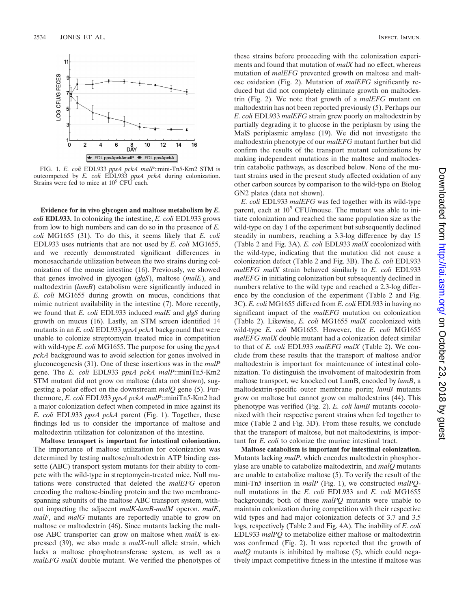

FIG. 1. *E. coli* EDL933 *ppsA pckA malP*::mini-Tn*5*-Km2 STM is outcompeted by *E. coli* EDL933 *ppsA pckA* during colonization. Strains were fed to mice at  $10^5$  CFU each.

**Evidence for in vivo glycogen and maltose metabolism by** *E. coli* **EDL933.** In colonizing the intestine, *E. coli* EDL933 grows from low to high numbers and can do so in the presence of *E. coli* MG1655 (31). To do this, it seems likely that *E. coli* EDL933 uses nutrients that are not used by *E. coli* MG1655, and we recently demonstrated significant differences in monosaccharide utilization between the two strains during colonization of the mouse intestine (16). Previously, we showed that genes involved in glycogen (*glgS*), maltose (*malE*), and maltodextrin (*lamB*) catabolism were significantly induced in *E. coli* MG1655 during growth on mucus, conditions that mimic nutrient availability in the intestine (7). More recently, we found that *E. coli* EDL933 induced *malE* and *glgS* during growth on mucus (16). Lastly, an STM screen identified 14 mutants in an *E. coli* EDL933 *ppsA pckA* background that were unable to colonize streptomycin treated mice in competition with wild-type *E. coli* MG1655. The purpose for using the *ppsA pckA* background was to avoid selection for genes involved in gluconeogenesis (31). One of these insertions was in the *malP* gene. The *E. coli* EDL933 *ppsA pckA malP*::miniTn*5*-Km2 STM mutant did not grow on maltose (data not shown), suggesting a polar effect on the downstream *malQ* gene (5). Furthermore, *E. coli* EDL933 *ppsA pckA malP*::miniTn*5*-Km2 had a major colonization defect when competed in mice against its *E. coli* EDL933 *ppsA pckA* parent (Fig. 1). Together, these findings led us to consider the importance of maltose and maltodextrin utilization for colonization of the intestine.

**Maltose transport is important for intestinal colonization.** The importance of maltose utilization for colonization was determined by testing maltose/maltodextrin ATP binding cassette (ABC) transport system mutants for their ability to compete with the wild-type in streptomycin-treated mice. Null mutations were constructed that deleted the *malEFG* operon encoding the maltose-binding protein and the two membranespanning subunits of the maltose ABC transport system, without impacting the adjacent *malK*-*lamB*-*malM* operon. *malE*, *malF*, and *malG* mutants are reportedly unable to grow on maltose or maltodextrin (46). Since mutants lacking the maltose ABC transporter can grow on maltose when *malX* is expressed (39), we also made a *malX*-null allele strain, which lacks a maltose phosphotransferase system, as well as a *malEFG malX* double mutant. We verified the phenotypes of these strains before proceeding with the colonization experiments and found that mutation of *malX* had no effect, whereas mutation of *malEFG* prevented growth on maltose and maltose oxidation (Fig. 2). Mutation of *malEFG* significantly reduced but did not completely eliminate growth on maltodextrin (Fig. 2). We note that growth of a *malEFG* mutant on maltodextrin has not been reported previously (5). Perhaps our *E. coli* EDL933 *malEFG* strain grew poorly on maltodextrin by partially degrading it to glucose in the periplasm by using the MalS periplasmic amylase (19). We did not investigate the maltodextrin phenotype of our *malEFG* mutant further but did confirm the results of the transport mutant colonizations by making independent mutations in the maltose and maltodextrin catabolic pathways, as described below. None of the mutant strains used in the present study affected oxidation of any other carbon sources by comparison to the wild-type on Biolog GN2 plates (data not shown).

*E. coli* EDL933 *malEFG* was fed together with its wild-type parent, each at  $10^5$  CFU/mouse. The mutant was able to initiate colonization and reached the same population size as the wild-type on day 1 of the experiment but subsequently declined steadily in numbers, reaching a 3.3-log difference by day 15 (Table 2 and Fig. 3A). *E. coli* EDL933 *malX* cocolonized with the wild-type, indicating that the mutation did not cause a colonization defect (Table 2 and Fig. 3B). The *E. coli* EDL933 *malEFG malX* strain behaved similarly to *E. coli* EDL933 *malEFG* in initiating colonization but subsequently declined in numbers relative to the wild type and reached a 2.3-log difference by the conclusion of the experiment (Table 2 and Fig. 3C). *E. coli* MG1655 differed from *E. coli* EDL933 in having no significant impact of the *malEFG* mutation on colonization (Table 2). Likewise, *E. coli* MG1655 *malX* cocolonized with wild-type *E. coli* MG1655. However, the *E. coli* MG1655 *malEFG malX* double mutant had a colonization defect similar to that of *E. coli* EDL933 *malEFG malX* (Table 2). We conclude from these results that the transport of maltose and/or maltodextrin is important for maintenance of intestinal colonization. To distinguish the involvement of maltodextrin from maltose transport, we knocked out LamB, encoded by *lamB*, a maltodextrin-specific outer membrane porin; *lamB* mutants grow on maltose but cannot grow on maltodextrins (44). This phenotype was verified (Fig. 2). *E. coli lamB* mutants cocolonized with their respective parent strains when fed together to mice (Table 2 and Fig. 3D). From these results, we conclude that the transport of maltose, but not maltodextrins, is important for *E. coli* to colonize the murine intestinal tract.

**Maltose catabolism is important for intestinal colonization.** Mutants lacking *malP*, which encodes maltodextrin phosphorylase are unable to catabolize maltodextrin, and *malQ* mutants are unable to catabolize maltose (5). To verify the result of the mini-Tn*5* insertion in *malP* (Fig. 1), we constructed *malPQ*null mutations in the *E. coli* EDL933 and *E. coli* MG1655 backgrounds; both of these *malPQ* mutants were unable to maintain colonization during competition with their respective wild types and had major colonization defects of 3.7 and 3.5 logs, respectively (Table 2 and Fig. 4A). The inability of *E. coli* EDL933 *malPQ* to metabolize either maltose or maltodextrin was confirmed (Fig. 2). It was reported that the growth of *malQ* mutants is inhibited by maltose (5), which could negatively impact competitive fitness in the intestine if maltose was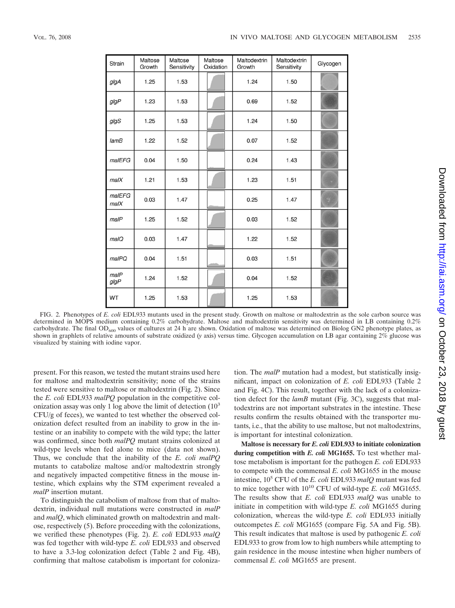| Strain               | Maltose<br>Growth | Maltose<br>Sensitivity | Maltose<br>Oxidation | Maltodextrin<br>Growth | Maltodextrin<br>Sensitivity | Glycogen |
|----------------------|-------------------|------------------------|----------------------|------------------------|-----------------------------|----------|
| glgA                 | 1.25              | 1.53                   |                      | 1.24                   | 1.50                        |          |
| $g$ lg $P$           | 1.23              | 1.53                   |                      | 0.69                   | 1.52                        |          |
| glgS                 | 1.25              | 1.53                   |                      | 1.24                   | 1.50                        |          |
| lamB                 | 1.22              | 1.52                   |                      | 0.07                   | 1.52                        |          |
| malEFG               | 0.04              | 1.50                   |                      | 0.24                   | 1.43                        |          |
| malX                 | 1.21              | 1.53                   |                      | 1.23                   | 1.51                        |          |
| malEFG<br>$m$ al $X$ | 0.03              | 1.47                   |                      | 0.25                   | 1.47                        |          |
| malP                 | 1.25              | 1.52                   |                      | 0.03                   | 1.52                        |          |
| malQ                 | 0.03              | 1.47                   |                      | 1.22                   | 1.52                        |          |
| malPQ                | 0.04              | 1.51                   |                      | 0.03                   | 1.51                        |          |
| malP<br>$g$ lg $P$   | 1.24              | 1.52                   |                      | 0.04                   | 1.52                        |          |
| WT                   | 1.25              | 1.53                   |                      | 1.25                   | 1.53                        |          |

FIG. 2. Phenotypes of *E. coli* EDL933 mutants used in the present study. Growth on maltose or maltodextrin as the sole carbon source was determined in MOPS medium containing 0.2% carbohydrate. Maltose and maltodextrin sensitivity was determined in LB containing 0.2% carbohydrate. The final OD<sub>600</sub> values of cultures at 24 h are shown. Oxidation of maltose was determined on Biolog GN2 phenotype plates, as shown in graphlets of relative amounts of substrate oxidized (*y* axis) versus time. Glycogen accumulation on LB agar containing 2% glucose was visualized by staining with iodine vapor.

present. For this reason, we tested the mutant strains used here for maltose and maltodextrin sensitivity; none of the strains tested were sensitive to maltose or maltodextrin (Fig. 2). Since the *E. coli* EDL933 *malPQ* population in the competitive colonization assay was only 1 log above the limit of detection  $(10<sup>3</sup>)$ CFU/g of feces), we wanted to test whether the observed colonization defect resulted from an inability to grow in the intestine or an inability to compete with the wild type; the latter was confirmed, since both *malPQ* mutant strains colonized at wild-type levels when fed alone to mice (data not shown). Thus, we conclude that the inability of the *E. coli malPQ* mutants to catabolize maltose and/or maltodextrin strongly and negatively impacted competitive fitness in the mouse intestine, which explains why the STM experiment revealed a *malP* insertion mutant.

To distinguish the catabolism of maltose from that of maltodextrin, individual null mutations were constructed in *malP* and *malQ*, which eliminated growth on maltodextrin and maltose, respectively (5). Before proceeding with the colonizations, we verified these phenotypes (Fig. 2). *E. coli* EDL933 *malQ* was fed together with wild-type *E. coli* EDL933 and observed to have a 3.3-log colonization defect (Table 2 and Fig. 4B), confirming that maltose catabolism is important for colonization. The *malP* mutation had a modest, but statistically insignificant, impact on colonization of *E. coli* EDL933 (Table 2 and Fig. 4C). This result, together with the lack of a colonization defect for the *lamB* mutant (Fig. 3C), suggests that maltodextrins are not important substrates in the intestine. These results confirm the results obtained with the transporter mutants, i.e., that the ability to use maltose, but not maltodextrins, is important for intestinal colonization.

**Maltose is necessary for** *E. coli* **EDL933 to initiate colonization during competition with** *E. coli* **MG1655.** To test whether maltose metabolism is important for the pathogen *E. coli* EDL933 to compete with the commensal *E. coli* MG1655 in the mouse intestine, 105 CFU of the *E. coli* EDL933 *malQ* mutant was fed to mice together with  $10^{10}$  CFU of wild-type *E. coli* MG1655. The results show that *E. coli* EDL933 *malQ* was unable to initiate in competition with wild-type *E. coli* MG1655 during colonization, whereas the wild-type *E. coli* EDL933 initially outcompetes *E. coli* MG1655 (compare Fig. 5A and Fig. 5B). This result indicates that maltose is used by pathogenic *E. coli* EDL933 to grow from low to high numbers while attempting to gain residence in the mouse intestine when higher numbers of commensal *E. coli* MG1655 are present.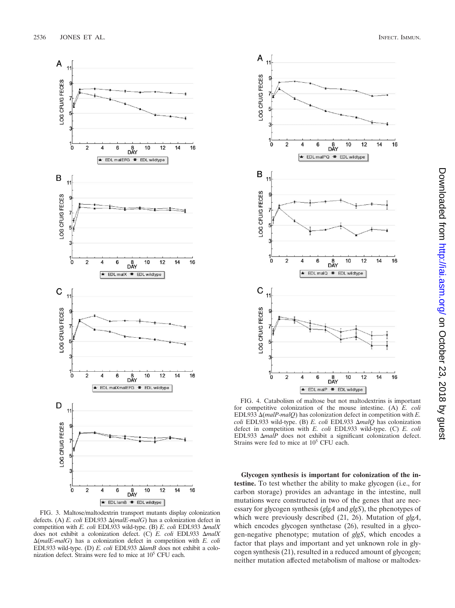

FIG. 3. Maltose/maltodextrin transport mutants display colonization defects. (A) *E. coli* EDL933 (*malE-malG*) has a colonization defect in competition with *E. coli* EDL933 wild-type. (B) *E. coli* EDL933 *malX* does not exhibit a colonization defect. (C) *E. coli* EDL933 *malX* (*malE-malG*) has a colonization defect in competition with *E. coli* EDL933 wild-type. (D) *E. coli* EDL933 *lamB* does not exhibit a colonization defect. Strains were fed to mice at  $10<sup>5</sup>$  CFU each.



FIG. 4. Catabolism of maltose but not maltodextrins is important for competitive colonization of the mouse intestine. (A) *E. coli* EDL933 (*malP-malQ*) has colonization defect in competition with *E. coli* EDL933 wild-type. (B) *E. coli* EDL933 *malQ* has colonization defect in competition with *E. coli* EDL933 wild-type. (C) *E. coli* EDL933 *malP* does not exhibit a significant colonization defect. Strains were fed to mice at  $10<sup>5</sup>$  CFU each.

**Glycogen synthesis is important for colonization of the intestine.** To test whether the ability to make glycogen (i.e., for carbon storage) provides an advantage in the intestine, null mutations were constructed in two of the genes that are necessary for glycogen synthesis (*glgA* and *glgS*), the phenotypes of which were previously described (21, 26). Mutation of *glgA*, which encodes glycogen synthetase (26), resulted in a glycogen-negative phenotype; mutation of *glgS*, which encodes a factor that plays and important and yet unknown role in glycogen synthesis (21), resulted in a reduced amount of glycogen; neither mutation affected metabolism of maltose or maltodex-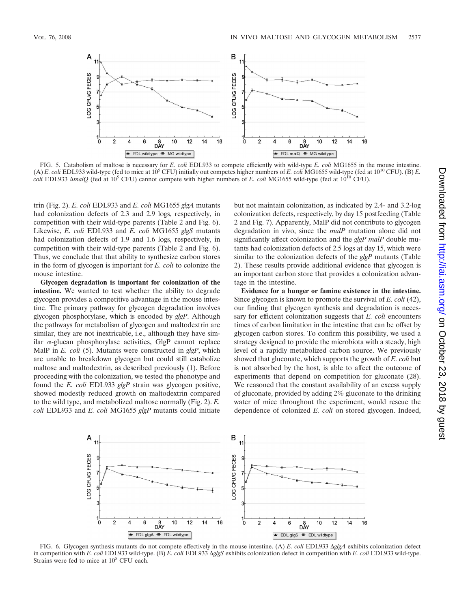

FIG. 5. Catabolism of maltose is necessary for *E. coli* EDL933 to compete efficiently with wild-type *E. coli* MG1655 in the mouse intestine. (A) *E. coli* EDL933 wild-type (fed to mice at 105 CFU) initially out competes higher numbers of *E. coli* MG1655 wild-type (fed at 1010 CFU). (B) *E. coli* EDL933  $\Delta$ *malQ* (fed at 10<sup>5</sup> CFU) cannot compete with higher numbers of *E. coli* MG1655 wild-type (fed at 10<sup>10</sup> CFU).

trin (Fig. 2). *E. coli* EDL933 and *E. coli* MG1655 *glgA* mutants had colonization defects of 2.3 and 2.9 logs, respectively, in competition with their wild-type parents (Table 2 and Fig. 6). Likewise, *E. coli* EDL933 and *E. coli* MG1655 *glgS* mutants had colonization defects of 1.9 and 1.6 logs, respectively, in competition with their wild-type parents (Table 2 and Fig. 6). Thus, we conclude that that ability to synthesize carbon stores in the form of glycogen is important for *E. coli* to colonize the mouse intestine.

**Glycogen degradation is important for colonization of the intestine.** We wanted to test whether the ability to degrade glycogen provides a competitive advantage in the mouse intestine. The primary pathway for glycogen degradation involves glycogen phosphorylase, which is encoded by *glgP*. Although the pathways for metabolism of glycogen and maltodextrin are similar, they are not inextricable, i.e., although they have similar  $\alpha$ -glucan phosphorylase activities, GlgP cannot replace MalP in *E. coli* (5). Mutants were constructed in *glgP*, which are unable to breakdown glycogen but could still catabolize maltose and maltodextrin, as described previously (1). Before proceeding with the colonization, we tested the phenotype and found the *E. coli* EDL933 *glgP* strain was glycogen positive, showed modestly reduced growth on maltodextrin compared to the wild type, and metabolized maltose normally (Fig. 2). *E. coli* EDL933 and *E. coli* MG1655 *glgP* mutants could initiate

but not maintain colonization, as indicated by 2.4- and 3.2-log colonization defects, respectively, by day 15 postfeeding (Table 2 and Fig. 7). Apparently, MalP did not contribute to glycogen degradation in vivo, since the *malP* mutation alone did not significantly affect colonization and the *glgP malP* double mutants had colonization defects of 2.5 logs at day 15, which were similar to the colonization defects of the *glgP* mutants (Table 2). These results provide additional evidence that glycogen is an important carbon store that provides a colonization advantage in the intestine.

**Evidence for a hunger or famine existence in the intestine.** Since glycogen is known to promote the survival of *E. coli* (42), our finding that glycogen synthesis and degradation is necessary for efficient colonization suggests that *E. coli* encounters times of carbon limitation in the intestine that can be offset by glycogen carbon stores. To confirm this possibility, we used a strategy designed to provide the microbiota with a steady, high level of a rapidly metabolized carbon source. We previously showed that gluconate, which supports the growth of *E. coli* but is not absorbed by the host, is able to affect the outcome of experiments that depend on competition for gluconate (28). We reasoned that the constant availability of an excess supply of gluconate, provided by adding 2% gluconate to the drinking water of mice throughout the experiment, would rescue the dependence of colonized *E. coli* on stored glycogen. Indeed,



FIG. 6. Glycogen synthesis mutants do not compete effectively in the mouse intestine. (A) *E. coli* EDL933 *glgA* exhibits colonization defect in competition with *E. coli* EDL933 wild-type. (B) *E. coli* EDL933 *glgS* exhibits colonization defect in competition with *E. coli* EDL933 wild-type. Strains were fed to mice at  $10<sup>5</sup>$  CFU each.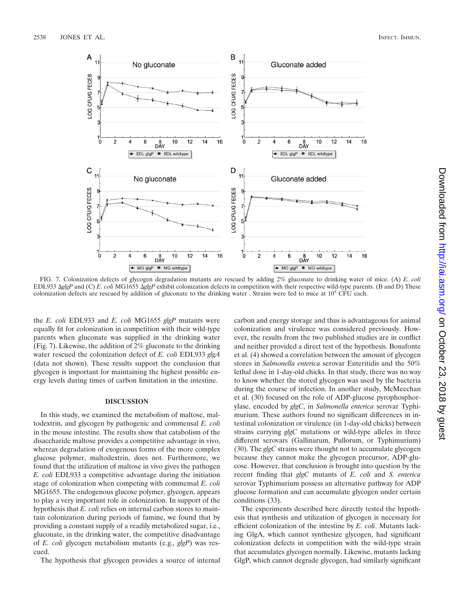

FIG. 7. Colonization defects of glycogen degradation mutants are rescued by adding 2% gluconate to drinking water of mice. (A) *E. coli* EDL933 *glgP* and (C) *E. coli* MG1655 *glgP* exhibit colonization defects in competition with their respective wild-type parents. (B and D) These colonization defects are rescued by addition of gluconate to the drinking water. Strains were fed to mice at  $10<sup>5</sup>$  CFU each.

the *E. coli* EDL933 and *E. coli* MG1655 *glgP* mutants were equally fit for colonization in competition with their wild-type parents when gluconate was supplied in the drinking water (Fig. 7). Likewise, the addition of 2% gluconate to the drinking water rescued the colonization defect of *E. coli* EDL933 *glgA* (data not shown). These results support the conclusion that glycogen is important for maintaining the highest possible energy levels during times of carbon limitation in the intestine.

### **DISCUSSION**

In this study, we examined the metabolism of maltose, maltodextrin, and glycogen by pathogenic and commensal *E. coli* in the mouse intestine. The results show that catabolism of the disaccharide maltose provides a competitive advantage in vivo, whereas degradation of exogenous forms of the more complex glucose polymer, maltodextrin, does not. Furthermore, we found that the utilization of maltose in vivo gives the pathogen *E. coli* EDL933 a competitive advantage during the initiation stage of colonization when competing with commensal *E. coli* MG1655. The endogenous glucose polymer, glycogen, appears to play a very important role in colonization. In support of the hypothesis that *E. coli* relies on internal carbon stores to maintain colonization during periods of famine, we found that by providing a constant supply of a readily metabolized sugar, i.e., gluconate, in the drinking water, the competitive disadvantage of *E. coli* glycogen metabolism mutants (e.g., *glgP*) was rescued.

The hypothesis that glycogen provides a source of internal

carbon and energy storage and thus is advantageous for animal colonization and virulence was considered previously. However, the results from the two published studies are in conflict and neither provided a direct test of the hypothesis. Bonafonte et al. (4) showed a correlation between the amount of glycogen stores in *Salmonella enterica* serovar Enteritidis and the 50% lethal dose in 1-day-old chicks. In that study, there was no way to know whether the stored glycogen was used by the bacteria during the course of infection. In another study, McMeechan et al. (30) focused on the role of ADP-glucose pyrophosphorylase, encoded by *glgC*, in *Salmonella enterica* serovar Typhimurium. These authors found no significant differences in intestinal colonization or virulence (in 1-day-old chicks) between strains carrying *glgC* mutations or wild-type alleles in three different serovars (Gallinarum, Pullorum, or Typhimurium) (30). The *glgC* strains were thought not to accumulate glycogen because they cannot make the glycogen precursor, ADP-glucose. However, that conclusion is brought into question by the recent finding that *glgC* mutants of *E. coli* and *S. enterica* serovar Typhimurium possess an alternative pathway for ADP glucose formation and can accumulate glycogen under certain conditions (33).

The experiments described here directly tested the hypothesis that synthesis and utilization of glycogen is necessary for efficient colonization of the intestine by *E. coli*. Mutants lacking GlgA, which cannot synthesize glycogen, had significant colonization defects in competition with the wild-type strain that accumulates glycogen normally. Likewise, mutants lacking GlgP, which cannot degrade glycogen, had similarly significant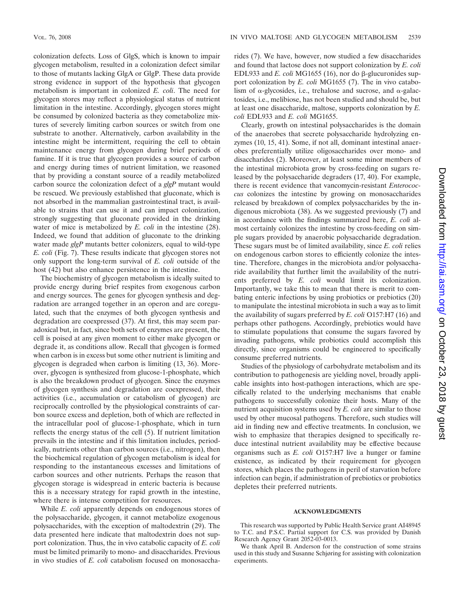colonization defects. Loss of GlgS, which is known to impair glycogen metabolism, resulted in a colonization defect similar to those of mutants lacking GlgA or GlgP. These data provide strong evidence in support of the hypothesis that glycogen metabolism is important in colonized *E. coli*. The need for glycogen stores may reflect a physiological status of nutrient limitation in the intestine. Accordingly, glycogen stores might be consumed by colonized bacteria as they cometabolize mixtures of severely limiting carbon sources or switch from one substrate to another. Alternatively, carbon availability in the intestine might be intermittent, requiring the cell to obtain maintenance energy from glycogen during brief periods of famine. If it is true that glycogen provides a source of carbon and energy during times of nutrient limitation, we reasoned that by providing a constant source of a readily metabolized carbon source the colonization defect of a *glgP* mutant would be rescued. We previously established that gluconate, which is not absorbed in the mammalian gastrointestinal tract, is available to strains that can use it and can impact colonization, strongly suggesting that gluconate provided in the drinking water of mice is metabolized by *E. coli* in the intestine (28). Indeed, we found that addition of gluconate to the drinking water made *glgP* mutants better colonizers, equal to wild-type *E. coli* (Fig. 7). These results indicate that glycogen stores not only support the long-term survival of *E. coli* outside of the host (42) but also enhance persistence in the intestine.

The biochemistry of glycogen metabolism is ideally suited to provide energy during brief respites from exogenous carbon and energy sources. The genes for glycogen synthesis and degradation are arranged together in an operon and are coregulated, such that the enzymes of both glycogen synthesis and degradation are coexpressed (37). At first, this may seem paradoxical but, in fact, since both sets of enzymes are present, the cell is poised at any given moment to either make glycogen or degrade it, as conditions allow. Recall that glycogen is formed when carbon is in excess but some other nutrient is limiting and glycogen is degraded when carbon is limiting (13, 36). Moreover, glycogen is synthesized from glucose-1-phosphate, which is also the breakdown product of glycogen. Since the enzymes of glycogen synthesis and degradation are coexpressed, their activities (i.e., accumulation or catabolism of glycogen) are reciprocally controlled by the physiological constraints of carbon source excess and depletion, both of which are reflected in the intracellular pool of glucose-1-phosphate, which in turn reflects the energy status of the cell (5). If nutrient limitation prevails in the intestine and if this limitation includes, periodically, nutrients other than carbon sources (i.e., nitrogen), then the biochemical regulation of glycogen metabolism is ideal for responding to the instantaneous excesses and limitations of carbon sources and other nutrients. Perhaps the reason that glycogen storage is widespread in enteric bacteria is because this is a necessary strategy for rapid growth in the intestine, where there is intense competition for resources.

While *E. coli* apparently depends on endogenous stores of the polysaccharide, glycogen, it cannot metabolize exogenous polysaccharides, with the exception of maltodextrin (29). The data presented here indicate that maltodextrin does not support colonization. Thus, the in vivo catabolic capacity of *E. coli* must be limited primarily to mono- and disaccharides. Previous in vivo studies of *E. coli* catabolism focused on monosaccharides (7). We have, however, now studied a few disaccharides and found that lactose does not support colonization by *E. coli* EDL933 and *E. coli* MG1655 (16), nor do  $\beta$ -glucuronides support colonization by *E. coli* MG1655 (7). The in vivo catabolism of  $\alpha$ -glycosides, i.e., trehalose and sucrose, and  $\alpha$ -galactosides, i.e., melibiose, has not been studied and should be, but at least one disaccharide, maltose, supports colonization by *E. coli* EDL933 and *E. coli* MG1655.

Clearly, growth on intestinal polysaccharides is the domain of the anaerobes that secrete polysaccharide hydrolyzing enzymes (10, 15, 41). Some, if not all, dominant intestinal anaerobes preferentially utilize oligosaccharides over mono- and disaccharides (2). Moreover, at least some minor members of the intestinal microbiota grow by cross-feeding on sugars released by the polysaccharide degraders (17, 40). For example, there is recent evidence that vancomycin-resistant *Enterococcus* colonizes the intestine by growing on monosaccharides released by breakdown of complex polysaccharides by the indigenous microbiota (38). As we suggested previously (7) and in accordance with the findings summarized here, *E. coli* almost certainly colonizes the intestine by cross-feeding on simple sugars provided by anaerobic polysaccharide degradation. These sugars must be of limited availability, since *E. coli* relies on endogenous carbon stores to efficiently colonize the intestine. Therefore, changes in the microbiota and/or polysaccharide availability that further limit the availability of the nutrients preferred by *E. coli* would limit its colonization. Importantly, we take this to mean that there is merit to combating enteric infections by using probiotics or prebiotics (20) to manipulate the intestinal microbiota in such a way as to limit the availability of sugars preferred by *E. coli* O157:H7 (16) and perhaps other pathogens. Accordingly, prebiotics would have to stimulate populations that consume the sugars favored by invading pathogens, while probiotics could accomplish this directly, since organisms could be engineered to specifically consume preferred nutrients.

Studies of the physiology of carbohydrate metabolism and its contribution to pathogenesis are yielding novel, broadly applicable insights into host-pathogen interactions, which are specifically related to the underlying mechanisms that enable pathogens to successfully colonize their hosts. Many of the nutrient acquisition systems used by *E. coli* are similar to those used by other mucosal pathogens. Therefore, such studies will aid in finding new and effective treatments. In conclusion, we wish to emphasize that therapies designed to specifically reduce intestinal nutrient availability may be effective because organisms such as *E. coli* O157:H7 live a hunger or famine existence, as indicated by their requirement for glycogen stores, which places the pathogens in peril of starvation before infection can begin, if administration of prebiotics or probiotics depletes their preferred nutrients.

### **ACKNOWLEDGMENTS**

This research was supported by Public Health Service grant AI48945 to T.C. and P.S.C. Partial support for C.S. was provided by Danish Research Agency Grant 2052-03-0013.

We thank April B. Anderson for the construction of some strains used in this study and Susanne Schjøring for assisting with colonization experiments.